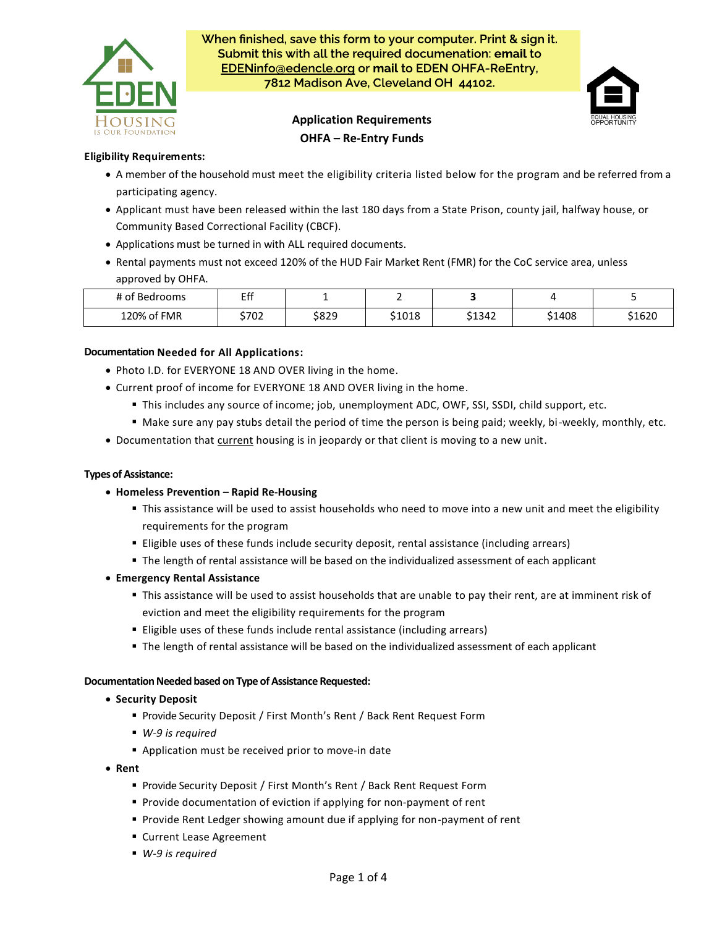

When finished, save this form to your computer. Print & sign it. Submit this with all the required documenation: email to EDENinfo@edencle.org or mail to EDEN OHFA-ReEntry, 7812 Madison Ave, Cleveland OH 44102.

# **Application Requirements OHFA – Re-Entry Funds**



## **Eligibility Requirements:**

- A member of the household must meet the eligibility criteria listed below for the program and be referred from a participating agency.
- Applicant must have been released within the last 180 days from a State Prison, county jail, halfway house, or Community Based Correctional Facility (CBCF).
- Applications must be turned in with ALL required documents.
- Rental payments must not exceed 120% of the HUD Fair Market Rent (FMR) for the CoC service area, unless approved by OHFA.

| $\sim$ $\sim$<br>$\cdot$<br>of Bedrooms | гf<br>. |       |        |        |        |        |
|-----------------------------------------|---------|-------|--------|--------|--------|--------|
| 120% of FMR                             | \$702   | \$829 | \$1018 | \$1342 | \$1408 | \$1620 |

### **Documentation Needed for All Applications:**

- Photo I.D. for EVERYONE 18 AND OVER living in the home.
- Current proof of income for EVERYONE 18 AND OVER living in the home.
	- This includes any source of income; job, unemployment ADC, OWF, SSI, SSDI, child support, etc.
	- Make sure any pay stubs detail the period of time the person is being paid; weekly, bi-weekly, monthly, etc.
- Documentation that current housing is in jeopardy or that client is moving to a new unit.

### **Types of Assistance:**

- **Homeless Prevention – Rapid Re-Housing**
	- This assistance will be used to assist households who need to move into a new unit and meet the eligibility requirements for the program
	- **Eligible uses of these funds include security deposit, rental assistance (including arrears)**
	- **The length of rental assistance will be based on the individualized assessment of each applicant**

### • **Emergency Rental Assistance**

- This assistance will be used to assist households that are unable to pay their rent, are at imminent risk of eviction and meet the eligibility requirements for the program
- Eligible uses of these funds include rental assistance (including arrears)
- **The length of rental assistance will be based on the individualized assessment of each applicant**

#### **Documentation Needed based on Type of Assistance Requested:**

- **Security Deposit**
	- Provide Security Deposit / First Month's Rent / Back Rent Request Form
	- *W-9 is required*
	- Application must be received prior to move-in date
- **Rent**
	- Provide Security Deposit / First Month's Rent / Back Rent Request Form
	- Provide documentation of eviction if applying for non-payment of rent
	- Provide Rent Ledger showing amount due if applying for non-payment of rent
	- Current Lease Agreement
	- *W-9 is required*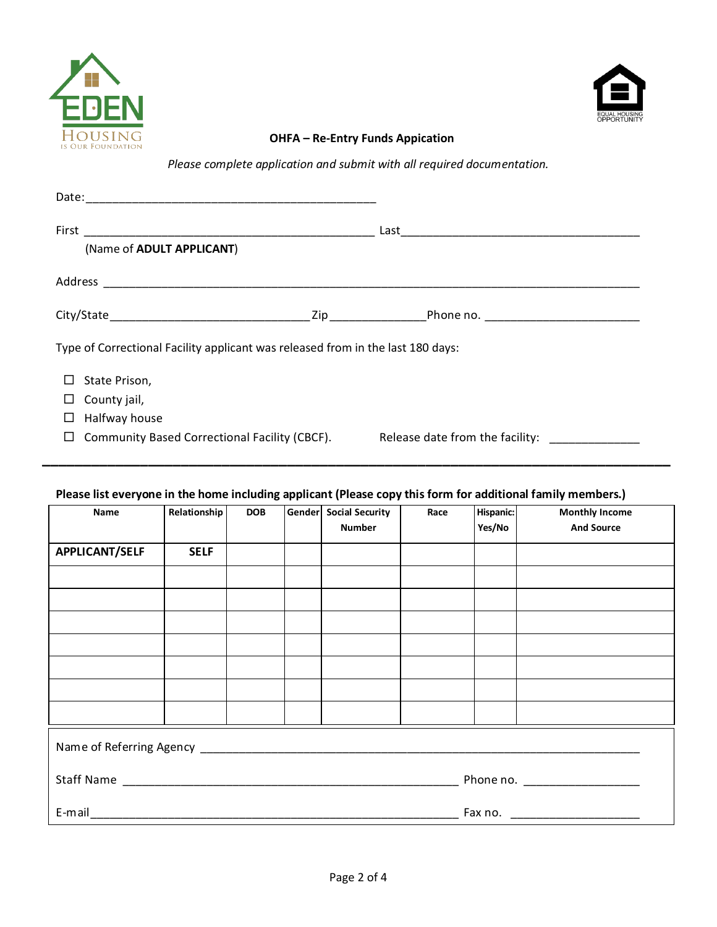



# **OHFA – Re-Entry Funds Appication**

*Please complete application and submit with all required documentation.*

| (Name of ADULT APPLICANT)                                                       |                                 |  |  |  |
|---------------------------------------------------------------------------------|---------------------------------|--|--|--|
|                                                                                 |                                 |  |  |  |
|                                                                                 |                                 |  |  |  |
| Type of Correctional Facility applicant was released from in the last 180 days: |                                 |  |  |  |
| State Prison,                                                                   |                                 |  |  |  |
| County jail,                                                                    |                                 |  |  |  |
| Halfway house                                                                   |                                 |  |  |  |
| Community Based Correctional Facility (CBCF).                                   | Release date from the facility: |  |  |  |

# **Please list everyone in the home including applicant (Please copy this form for additional family members.)**

| Name                  | Relationship | <b>DOB</b> |  | Gender Social Security<br><b>Number</b> | Race | Hispanic:<br>Yes/No | <b>Monthly Income</b><br><b>And Source</b> |
|-----------------------|--------------|------------|--|-----------------------------------------|------|---------------------|--------------------------------------------|
| <b>APPLICANT/SELF</b> | <b>SELF</b>  |            |  |                                         |      |                     |                                            |
|                       |              |            |  |                                         |      |                     |                                            |
|                       |              |            |  |                                         |      |                     |                                            |
|                       |              |            |  |                                         |      |                     |                                            |
|                       |              |            |  |                                         |      |                     |                                            |
|                       |              |            |  |                                         |      |                     |                                            |
|                       |              |            |  |                                         |      |                     |                                            |
|                       |              |            |  |                                         |      |                     |                                            |
|                       |              |            |  |                                         |      |                     |                                            |
|                       |              |            |  |                                         |      |                     |                                            |
| $E$ -mail             |              |            |  |                                         |      |                     |                                            |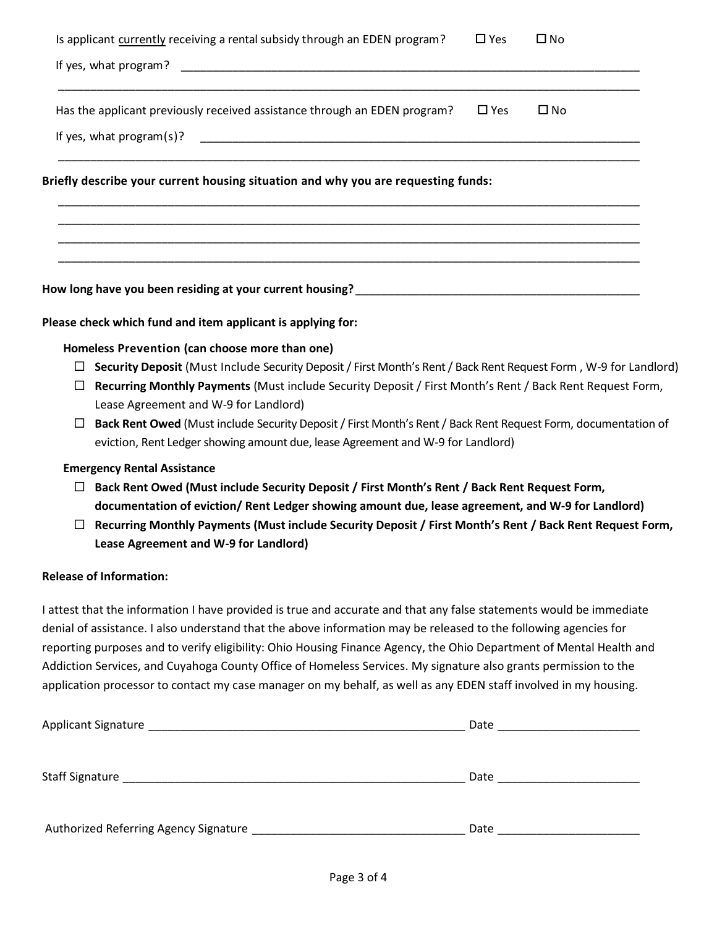| Is applicant currently receiving a rental subsidy through an EDEN program?        | $\Box$ Yes    | $\square$ No |
|-----------------------------------------------------------------------------------|---------------|--------------|
|                                                                                   |               |              |
| Has the applicant previously received assistance through an EDEN program?         | $\square$ Yes | $\square$ No |
|                                                                                   |               |              |
| Briefly describe your current housing situation and why you are requesting funds: |               |              |
|                                                                                   |               |              |
|                                                                                   |               |              |
|                                                                                   |               |              |

**Please check which fund and item applicant is applying for:**

**Homeless Prevention (can choose more than one)**

- **Security Deposit** (Must Include Security Deposit / First Month's Rent/ Back Rent Request Form , W-9 for Landlord)
- **Recurring Monthly Payments** (Must include Security Deposit / First Month's Rent / Back Rent Request Form, Lease Agreement and W-9 for Landlord)
- **Back Rent Owed** (Must include Security Deposit / First Month's Rent / Back Rent Request Form, documentation of eviction, Rent Ledger showing amount due, lease Agreement and W-9 for Landlord)

## **Emergency Rental Assistance**

- **Back Rent Owed (Must include Security Deposit / First Month's Rent / Back Rent Request Form, documentation of eviction/ Rent Ledger showing amount due, lease agreement, and W-9 for Landlord)**
- **Recurring Monthly Payments (Must include Security Deposit / First Month's Rent / Back Rent Request Form, Lease Agreement and W-9 for Landlord)**

## **Release of Information:**

I attest that the information I have provided is true and accurate and that any false statements would be immediate denial of assistance. I also understand that the above information may be released to the following agencies for reporting purposes and to verify eligibility: Ohio Housing Finance Agency, the Ohio Department of Mental Health and Addiction Services, and Cuyahoga County Office of Homeless Services. My signature also grants permission to the application processor to contact my case manager on my behalf, as well as any EDEN staff involved in my housing.

| Applicant Signature                   | Date |
|---------------------------------------|------|
| Staff Signature                       | Date |
| Authorized Referring Agency Signature | Date |